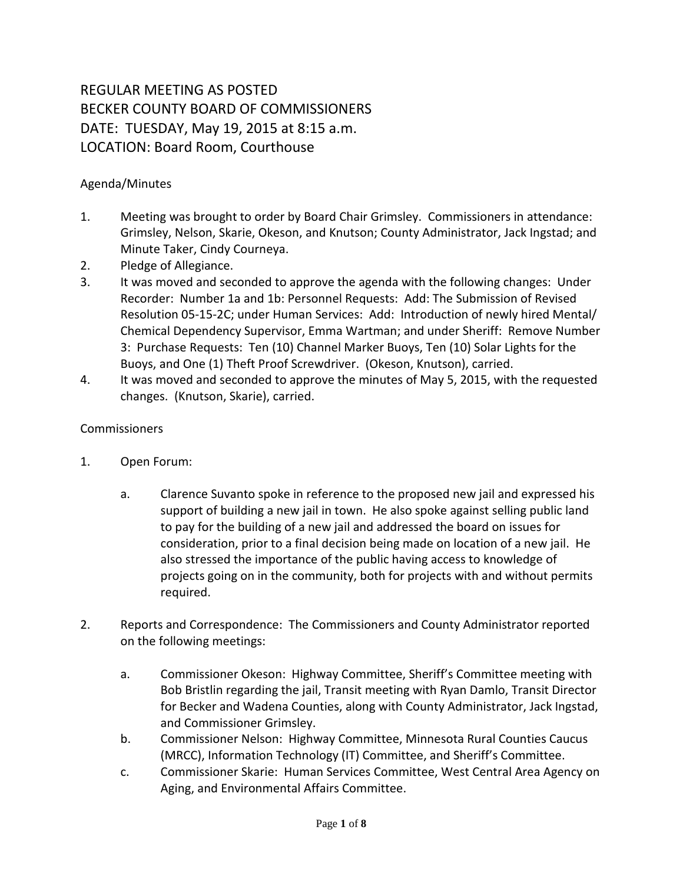## REGULAR MEETING AS POSTED BECKER COUNTY BOARD OF COMMISSIONERS DATE: TUESDAY, May 19, 2015 at 8:15 a.m. LOCATION: Board Room, Courthouse

## Agenda/Minutes

- 1. Meeting was brought to order by Board Chair Grimsley. Commissioners in attendance: Grimsley, Nelson, Skarie, Okeson, and Knutson; County Administrator, Jack Ingstad; and Minute Taker, Cindy Courneya.
- 2. Pledge of Allegiance.
- 3. It was moved and seconded to approve the agenda with the following changes: Under Recorder: Number 1a and 1b: Personnel Requests: Add: The Submission of Revised Resolution 05-15-2C; under Human Services: Add: Introduction of newly hired Mental/ Chemical Dependency Supervisor, Emma Wartman; and under Sheriff: Remove Number 3: Purchase Requests: Ten (10) Channel Marker Buoys, Ten (10) Solar Lights for the Buoys, and One (1) Theft Proof Screwdriver. (Okeson, Knutson), carried.
- 4. It was moved and seconded to approve the minutes of May 5, 2015, with the requested changes. (Knutson, Skarie), carried.

## Commissioners

- 1. Open Forum:
	- a. Clarence Suvanto spoke in reference to the proposed new jail and expressed his support of building a new jail in town. He also spoke against selling public land to pay for the building of a new jail and addressed the board on issues for consideration, prior to a final decision being made on location of a new jail. He also stressed the importance of the public having access to knowledge of projects going on in the community, both for projects with and without permits required.
- 2. Reports and Correspondence: The Commissioners and County Administrator reported on the following meetings:
	- a. Commissioner Okeson: Highway Committee, Sheriff's Committee meeting with Bob Bristlin regarding the jail, Transit meeting with Ryan Damlo, Transit Director for Becker and Wadena Counties, along with County Administrator, Jack Ingstad, and Commissioner Grimsley.
	- b. Commissioner Nelson: Highway Committee, Minnesota Rural Counties Caucus (MRCC), Information Technology (IT) Committee, and Sheriff's Committee.
	- c. Commissioner Skarie: Human Services Committee, West Central Area Agency on Aging, and Environmental Affairs Committee.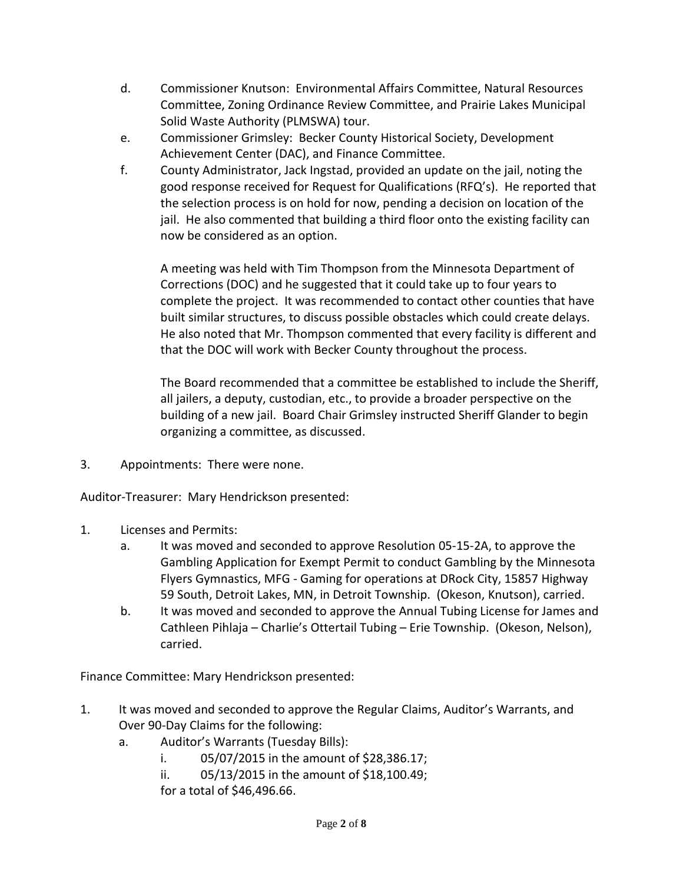- d. Commissioner Knutson: Environmental Affairs Committee, Natural Resources Committee, Zoning Ordinance Review Committee, and Prairie Lakes Municipal Solid Waste Authority (PLMSWA) tour.
- e. Commissioner Grimsley: Becker County Historical Society, Development Achievement Center (DAC), and Finance Committee.
- f. County Administrator, Jack Ingstad, provided an update on the jail, noting the good response received for Request for Qualifications (RFQ's). He reported that the selection process is on hold for now, pending a decision on location of the jail. He also commented that building a third floor onto the existing facility can now be considered as an option.

A meeting was held with Tim Thompson from the Minnesota Department of Corrections (DOC) and he suggested that it could take up to four years to complete the project. It was recommended to contact other counties that have built similar structures, to discuss possible obstacles which could create delays. He also noted that Mr. Thompson commented that every facility is different and that the DOC will work with Becker County throughout the process.

The Board recommended that a committee be established to include the Sheriff, all jailers, a deputy, custodian, etc., to provide a broader perspective on the building of a new jail. Board Chair Grimsley instructed Sheriff Glander to begin organizing a committee, as discussed.

3. Appointments: There were none.

Auditor-Treasurer: Mary Hendrickson presented:

- 1. Licenses and Permits:
	- a. It was moved and seconded to approve Resolution 05-15-2A, to approve the Gambling Application for Exempt Permit to conduct Gambling by the Minnesota Flyers Gymnastics, MFG - Gaming for operations at DRock City, 15857 Highway 59 South, Detroit Lakes, MN, in Detroit Township. (Okeson, Knutson), carried.
	- b. It was moved and seconded to approve the Annual Tubing License for James and Cathleen Pihlaja – Charlie's Ottertail Tubing – Erie Township. (Okeson, Nelson), carried.

Finance Committee: Mary Hendrickson presented:

- 1. It was moved and seconded to approve the Regular Claims, Auditor's Warrants, and Over 90-Day Claims for the following:
	- a. Auditor's Warrants (Tuesday Bills):
		- i. 05/07/2015 in the amount of \$28,386.17;
		- ii. 05/13/2015 in the amount of \$18,100.49;

for a total of \$46,496.66.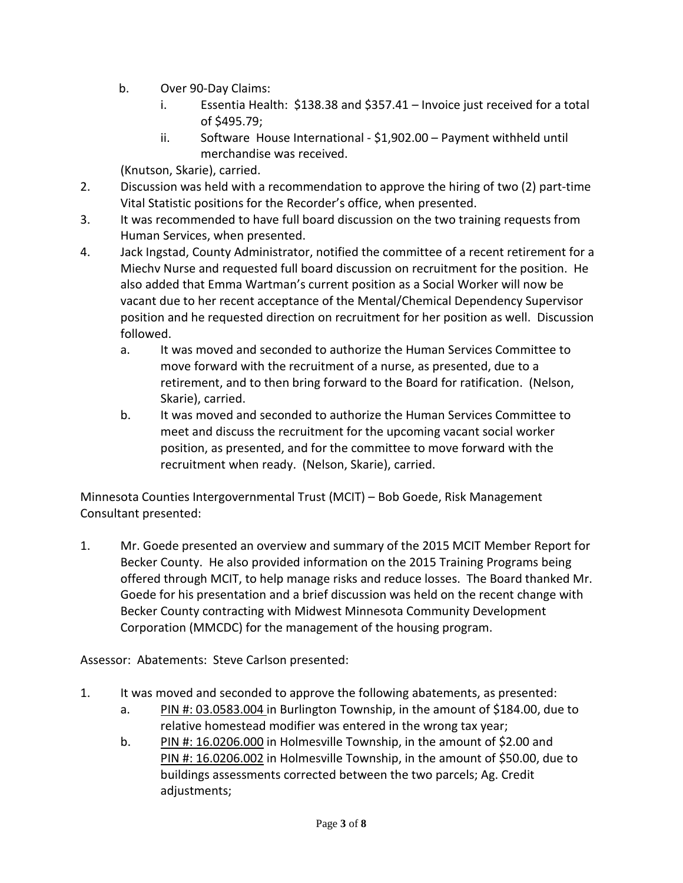- b. Over 90-Day Claims:
	- i. Essentia Health: \$138.38 and \$357.41 Invoice just received for a total of \$495.79;
	- ii. Software House International \$1,902.00 Payment withheld until merchandise was received.

(Knutson, Skarie), carried.

- 2. Discussion was held with a recommendation to approve the hiring of two (2) part-time Vital Statistic positions for the Recorder's office, when presented.
- 3. It was recommended to have full board discussion on the two training requests from Human Services, when presented.
- 4. Jack Ingstad, County Administrator, notified the committee of a recent retirement for a Miechv Nurse and requested full board discussion on recruitment for the position. He also added that Emma Wartman's current position as a Social Worker will now be vacant due to her recent acceptance of the Mental/Chemical Dependency Supervisor position and he requested direction on recruitment for her position as well. Discussion followed.
	- a. It was moved and seconded to authorize the Human Services Committee to move forward with the recruitment of a nurse, as presented, due to a retirement, and to then bring forward to the Board for ratification. (Nelson, Skarie), carried.
	- b. It was moved and seconded to authorize the Human Services Committee to meet and discuss the recruitment for the upcoming vacant social worker position, as presented, and for the committee to move forward with the recruitment when ready. (Nelson, Skarie), carried.

Minnesota Counties Intergovernmental Trust (MCIT) – Bob Goede, Risk Management Consultant presented:

1. Mr. Goede presented an overview and summary of the 2015 MCIT Member Report for Becker County. He also provided information on the 2015 Training Programs being offered through MCIT, to help manage risks and reduce losses. The Board thanked Mr. Goede for his presentation and a brief discussion was held on the recent change with Becker County contracting with Midwest Minnesota Community Development Corporation (MMCDC) for the management of the housing program.

Assessor: Abatements: Steve Carlson presented:

- 1. It was moved and seconded to approve the following abatements, as presented:
	- a. PIN #: 03.0583.004 in Burlington Township, in the amount of \$184.00, due to relative homestead modifier was entered in the wrong tax year;
	- b. PIN #: 16.0206.000 in Holmesville Township, in the amount of \$2.00 and PIN #: 16.0206.002 in Holmesville Township, in the amount of \$50.00, due to buildings assessments corrected between the two parcels; Ag. Credit adjustments;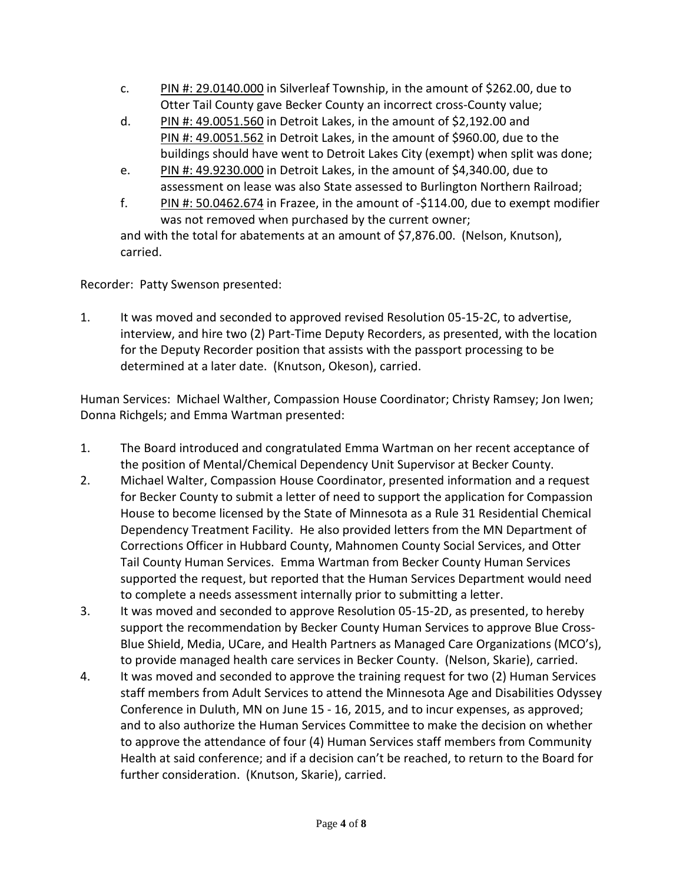- c. PIN #: 29.0140.000 in Silverleaf Township, in the amount of \$262.00, due to Otter Tail County gave Becker County an incorrect cross-County value;
- d. PIN #: 49.0051.560 in Detroit Lakes, in the amount of \$2,192.00 and PIN #: 49.0051.562 in Detroit Lakes, in the amount of \$960.00, due to the buildings should have went to Detroit Lakes City (exempt) when split was done;
- e. PIN #: 49.9230.000 in Detroit Lakes, in the amount of \$4,340.00, due to assessment on lease was also State assessed to Burlington Northern Railroad;
- f. PIN #: 50.0462.674 in Frazee, in the amount of -\$114.00, due to exempt modifier was not removed when purchased by the current owner;

and with the total for abatements at an amount of \$7,876.00. (Nelson, Knutson), carried.

Recorder: Patty Swenson presented:

1. It was moved and seconded to approved revised Resolution 05-15-2C, to advertise, interview, and hire two (2) Part-Time Deputy Recorders, as presented, with the location for the Deputy Recorder position that assists with the passport processing to be determined at a later date. (Knutson, Okeson), carried.

Human Services: Michael Walther, Compassion House Coordinator; Christy Ramsey; Jon Iwen; Donna Richgels; and Emma Wartman presented:

- 1. The Board introduced and congratulated Emma Wartman on her recent acceptance of the position of Mental/Chemical Dependency Unit Supervisor at Becker County.
- 2. Michael Walter, Compassion House Coordinator, presented information and a request for Becker County to submit a letter of need to support the application for Compassion House to become licensed by the State of Minnesota as a Rule 31 Residential Chemical Dependency Treatment Facility. He also provided letters from the MN Department of Corrections Officer in Hubbard County, Mahnomen County Social Services, and Otter Tail County Human Services. Emma Wartman from Becker County Human Services supported the request, but reported that the Human Services Department would need to complete a needs assessment internally prior to submitting a letter.
- 3. It was moved and seconded to approve Resolution 05-15-2D, as presented, to hereby support the recommendation by Becker County Human Services to approve Blue Cross-Blue Shield, Media, UCare, and Health Partners as Managed Care Organizations (MCO's), to provide managed health care services in Becker County. (Nelson, Skarie), carried.
- 4. It was moved and seconded to approve the training request for two (2) Human Services staff members from Adult Services to attend the Minnesota Age and Disabilities Odyssey Conference in Duluth, MN on June 15 - 16, 2015, and to incur expenses, as approved; and to also authorize the Human Services Committee to make the decision on whether to approve the attendance of four (4) Human Services staff members from Community Health at said conference; and if a decision can't be reached, to return to the Board for further consideration. (Knutson, Skarie), carried.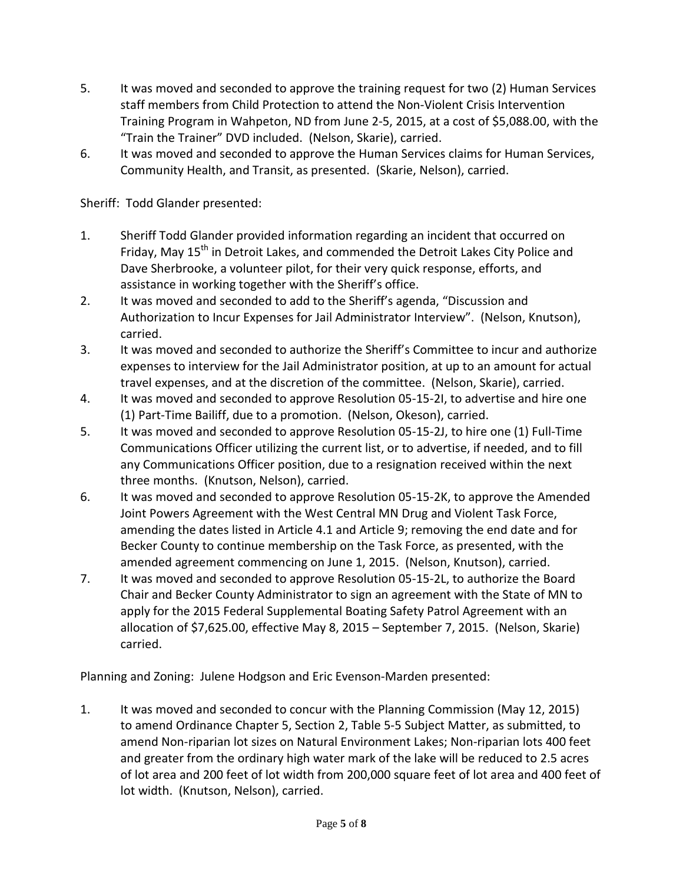- 5. It was moved and seconded to approve the training request for two (2) Human Services staff members from Child Protection to attend the Non-Violent Crisis Intervention Training Program in Wahpeton, ND from June 2-5, 2015, at a cost of \$5,088.00, with the "Train the Trainer" DVD included. (Nelson, Skarie), carried.
- 6. It was moved and seconded to approve the Human Services claims for Human Services, Community Health, and Transit, as presented. (Skarie, Nelson), carried.

Sheriff: Todd Glander presented:

- 1. Sheriff Todd Glander provided information regarding an incident that occurred on Friday, May 15<sup>th</sup> in Detroit Lakes, and commended the Detroit Lakes City Police and Dave Sherbrooke, a volunteer pilot, for their very quick response, efforts, and assistance in working together with the Sheriff's office.
- 2. It was moved and seconded to add to the Sheriff's agenda, "Discussion and Authorization to Incur Expenses for Jail Administrator Interview". (Nelson, Knutson), carried.
- 3. It was moved and seconded to authorize the Sheriff's Committee to incur and authorize expenses to interview for the Jail Administrator position, at up to an amount for actual travel expenses, and at the discretion of the committee. (Nelson, Skarie), carried.
- 4. It was moved and seconded to approve Resolution 05-15-2I, to advertise and hire one (1) Part-Time Bailiff, due to a promotion. (Nelson, Okeson), carried.
- 5. It was moved and seconded to approve Resolution 05-15-2J, to hire one (1) Full-Time Communications Officer utilizing the current list, or to advertise, if needed, and to fill any Communications Officer position, due to a resignation received within the next three months. (Knutson, Nelson), carried.
- 6. It was moved and seconded to approve Resolution 05-15-2K, to approve the Amended Joint Powers Agreement with the West Central MN Drug and Violent Task Force, amending the dates listed in Article 4.1 and Article 9; removing the end date and for Becker County to continue membership on the Task Force, as presented, with the amended agreement commencing on June 1, 2015. (Nelson, Knutson), carried.
- 7. It was moved and seconded to approve Resolution 05-15-2L, to authorize the Board Chair and Becker County Administrator to sign an agreement with the State of MN to apply for the 2015 Federal Supplemental Boating Safety Patrol Agreement with an allocation of \$7,625.00, effective May 8, 2015 – September 7, 2015. (Nelson, Skarie) carried.

Planning and Zoning: Julene Hodgson and Eric Evenson-Marden presented:

1. It was moved and seconded to concur with the Planning Commission (May 12, 2015) to amend Ordinance Chapter 5, Section 2, Table 5-5 Subject Matter, as submitted, to amend Non-riparian lot sizes on Natural Environment Lakes; Non-riparian lots 400 feet and greater from the ordinary high water mark of the lake will be reduced to 2.5 acres of lot area and 200 feet of lot width from 200,000 square feet of lot area and 400 feet of lot width. (Knutson, Nelson), carried.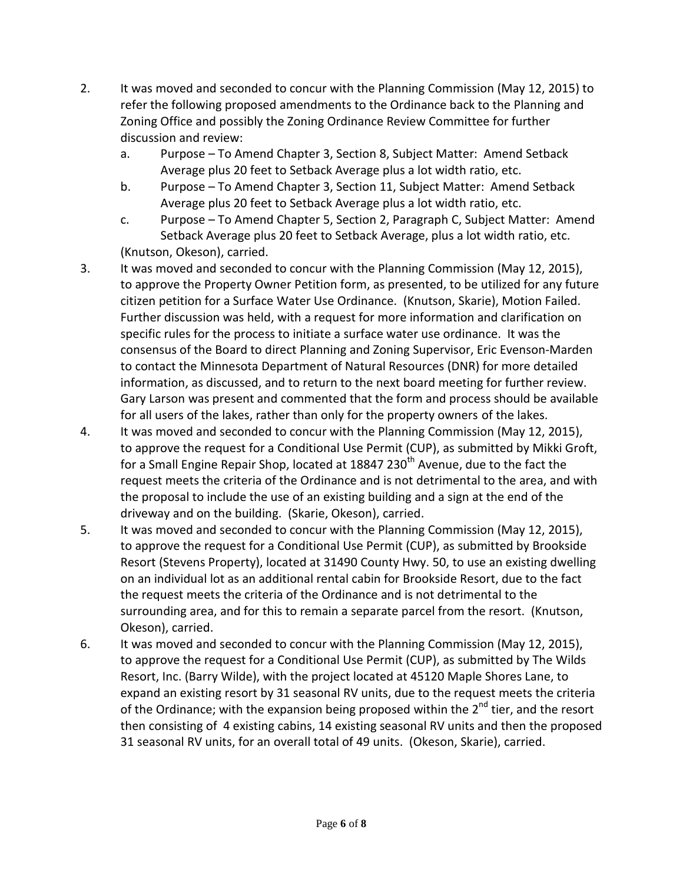- 2. It was moved and seconded to concur with the Planning Commission (May 12, 2015) to refer the following proposed amendments to the Ordinance back to the Planning and Zoning Office and possibly the Zoning Ordinance Review Committee for further discussion and review:
	- a. Purpose To Amend Chapter 3, Section 8, Subject Matter: Amend Setback Average plus 20 feet to Setback Average plus a lot width ratio, etc.
	- b. Purpose To Amend Chapter 3, Section 11, Subject Matter: Amend Setback Average plus 20 feet to Setback Average plus a lot width ratio, etc.
	- c. Purpose To Amend Chapter 5, Section 2, Paragraph C, Subject Matter: Amend Setback Average plus 20 feet to Setback Average, plus a lot width ratio, etc. (Knutson, Okeson), carried.
- 3. It was moved and seconded to concur with the Planning Commission (May 12, 2015), to approve the Property Owner Petition form, as presented, to be utilized for any future citizen petition for a Surface Water Use Ordinance. (Knutson, Skarie), Motion Failed. Further discussion was held, with a request for more information and clarification on specific rules for the process to initiate a surface water use ordinance. It was the consensus of the Board to direct Planning and Zoning Supervisor, Eric Evenson-Marden to contact the Minnesota Department of Natural Resources (DNR) for more detailed information, as discussed, and to return to the next board meeting for further review. Gary Larson was present and commented that the form and process should be available for all users of the lakes, rather than only for the property owners of the lakes.
- 4. It was moved and seconded to concur with the Planning Commission (May 12, 2015), to approve the request for a Conditional Use Permit (CUP), as submitted by Mikki Groft, for a Small Engine Repair Shop, located at 18847 230<sup>th</sup> Avenue, due to the fact the request meets the criteria of the Ordinance and is not detrimental to the area, and with the proposal to include the use of an existing building and a sign at the end of the driveway and on the building. (Skarie, Okeson), carried.
- 5. It was moved and seconded to concur with the Planning Commission (May 12, 2015), to approve the request for a Conditional Use Permit (CUP), as submitted by Brookside Resort (Stevens Property), located at 31490 County Hwy. 50, to use an existing dwelling on an individual lot as an additional rental cabin for Brookside Resort, due to the fact the request meets the criteria of the Ordinance and is not detrimental to the surrounding area, and for this to remain a separate parcel from the resort. (Knutson, Okeson), carried.
- 6. It was moved and seconded to concur with the Planning Commission (May 12, 2015), to approve the request for a Conditional Use Permit (CUP), as submitted by The Wilds Resort, Inc. (Barry Wilde), with the project located at 45120 Maple Shores Lane, to expand an existing resort by 31 seasonal RV units, due to the request meets the criteria of the Ordinance; with the expansion being proposed within the  $2^{nd}$  tier, and the resort then consisting of 4 existing cabins, 14 existing seasonal RV units and then the proposed 31 seasonal RV units, for an overall total of 49 units. (Okeson, Skarie), carried.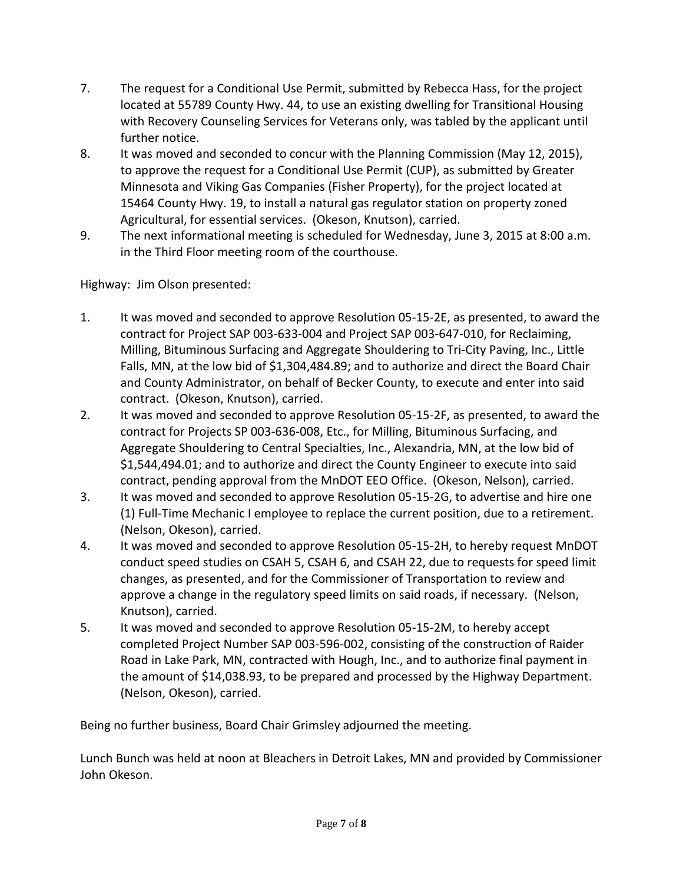- 7. The request for a Conditional Use Permit, submitted by Rebecca Hass, for the project located at 55789 County Hwy. 44, to use an existing dwelling for Transitional Housing with Recovery Counseling Services for Veterans only, was tabled by the applicant until further notice.
- 8. It was moved and seconded to concur with the Planning Commission (May 12, 2015), to approve the request for a Conditional Use Permit (CUP), as submitted by Greater Minnesota and Viking Gas Companies (Fisher Property), for the project located at 15464 County Hwy. 19, to install a natural gas regulator station on property zoned Agricultural, for essential services. (Okeson, Knutson), carried.
- 9. The next informational meeting is scheduled for Wednesday, June 3, 2015 at 8:00 a.m. in the Third Floor meeting room of the courthouse.

Highway: Jim Olson presented:

- 1. It was moved and seconded to approve Resolution 05-15-2E, as presented, to award the contract for Project SAP 003-633-004 and Project SAP 003-647-010, for Reclaiming, Milling, Bituminous Surfacing and Aggregate Shouldering to Tri-City Paving, Inc., Little Falls, MN, at the low bid of \$1,304,484.89; and to authorize and direct the Board Chair and County Administrator, on behalf of Becker County, to execute and enter into said contract. (Okeson, Knutson), carried.
- 2. It was moved and seconded to approve Resolution 05-15-2F, as presented, to award the contract for Projects SP 003-636-008, Etc., for Milling, Bituminous Surfacing, and Aggregate Shouldering to Central Specialties, Inc., Alexandria, MN, at the low bid of \$1,544,494.01; and to authorize and direct the County Engineer to execute into said contract, pending approval from the MnDOT EEO Office. (Okeson, Nelson), carried.
- 3. It was moved and seconded to approve Resolution 05-15-2G, to advertise and hire one (1) Full-Time Mechanic I employee to replace the current position, due to a retirement. (Nelson, Okeson), carried.
- 4. It was moved and seconded to approve Resolution 05-15-2H, to hereby request MnDOT conduct speed studies on CSAH 5, CSAH 6, and CSAH 22, due to requests for speed limit changes, as presented, and for the Commissioner of Transportation to review and approve a change in the regulatory speed limits on said roads, if necessary. (Nelson, Knutson), carried.
- 5. It was moved and seconded to approve Resolution 05-15-2M, to hereby accept completed Project Number SAP 003-596-002, consisting of the construction of Raider Road in Lake Park, MN, contracted with Hough, Inc., and to authorize final payment in the amount of \$14,038.93, to be prepared and processed by the Highway Department. (Nelson, Okeson), carried.

Being no further business, Board Chair Grimsley adjourned the meeting.

Lunch Bunch was held at noon at Bleachers in Detroit Lakes, MN and provided by Commissioner John Okeson.